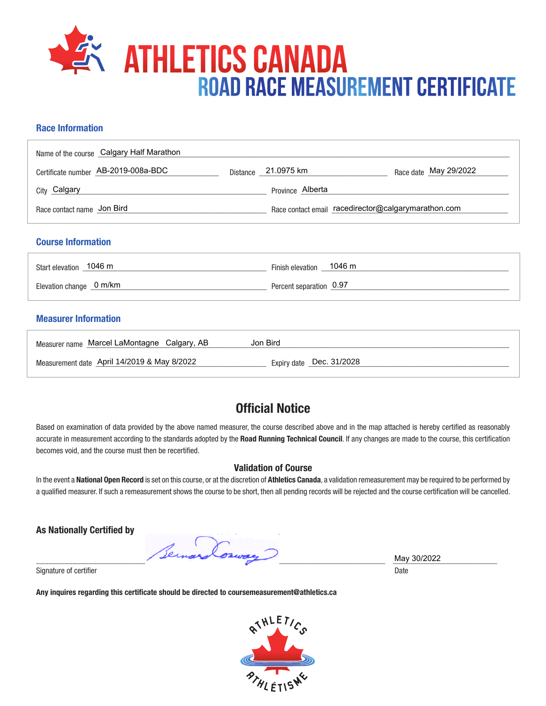

## **Race Information**

| Name of the course Calgary Half Marathon |                                                     |                       |
|------------------------------------------|-----------------------------------------------------|-----------------------|
| Certificate number AB-2019-008a-BDC      | Distance _ 21.0975 km                               | Race date May 29/2022 |
| <sub>City</sub> Calgary                  | Province Alberta                                    |                       |
| Race contact name Jon Bird               | Race contact email racedirector@calgarymarathon.com |                       |
|                                          |                                                     |                       |

#### **Course Information**

| Start elevation 1046 m   | Finish elevation 1046 m |
|--------------------------|-------------------------|
| Elevation change _0 m/km | Percent separation 0.97 |

### **Measurer Information**

| Measurer name Marcel LaMontagne Calgary, AB | Jon Bird                 |
|---------------------------------------------|--------------------------|
| Measurement date April 14/2019 & May 8/2022 | Expiry date Dec. 31/2028 |

# **Official Notice**

Based on examination of data provided by the above named measurer, the course described above and in the map attached is hereby certified as reasonably accurate in measurement according to the standards adopted by the **Road Running Technical Council**. If any changes are made to the course, this certification becomes void, and the course must then be recertified.

#### **Validation of Course**

In the event a **National Open Record** is set on this course, or at the discretion of **Athletics Canada**, a validation remeasurement may be required to be performed by a qualified measurer. If such a remeasurement shows the course to be short, then all pending records will be rejected and the course certification will be cancelled.

**As Nationally Certified by**

\_\_\_\_\_\_\_\_\_\_\_\_\_\_\_\_\_\_\_\_\_\_\_\_\_\_\_\_\_\_\_\_\_\_\_\_\_\_\_\_\_\_\_\_\_\_\_\_\_\_\_\_\_\_\_\_\_\_\_\_\_\_\_\_\_\_\_\_\_\_\_\_\_\_\_\_\_\_\_\_\_\_\_\_\_\_\_ \_\_\_\_\_\_\_\_\_\_\_\_\_\_\_\_\_\_\_\_\_\_\_\_\_\_

Signature of certifier Date Date of Certifier and Contract of Certifier and Date Date of Certifier and Date Date of Certifier and Date of Certifier and Date of Certifier and Date of Certifier and Date of Certifier and Date

**Any inquires regarding this certificate should be directed to coursemeasurement@athletics.ca**



May 30/2022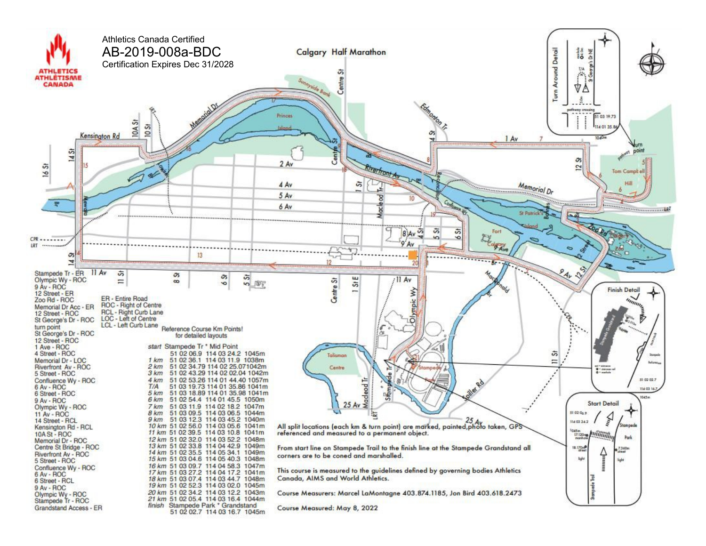